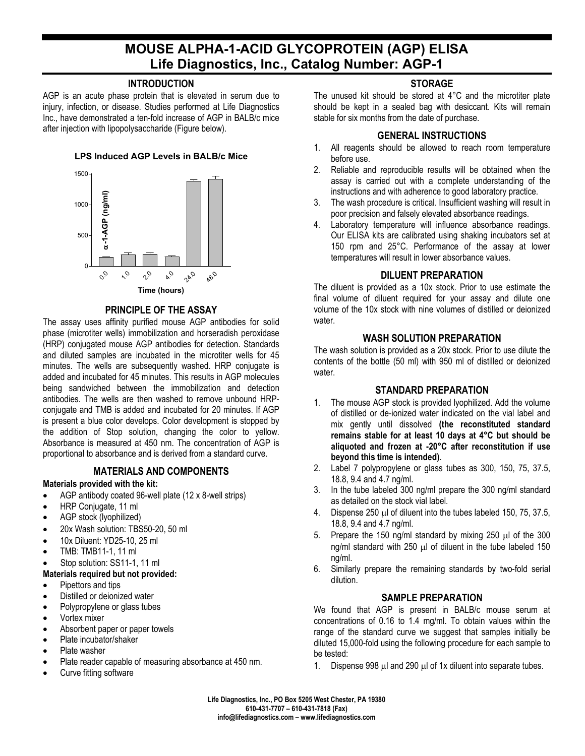# **MOUSE ALPHA-1-ACID GLYCOPROTEIN (AGP) ELISA Life Diagnostics, Inc., Catalog Number: AGP-1**

## **INTRODUCTION**

AGP is an acute phase protein that is elevated in serum due to injury, infection, or disease. Studies performed at Life Diagnostics Inc., have demonstrated a ten-fold increase of AGP in BALB/c mice after injection with lipopolysaccharide (Figure below).

#### **LPS Induced AGP Levels in BALB/c Mice**



#### **PRINCIPLE OF THE ASSAY**

The assay uses affinity purified mouse AGP antibodies for solid phase (microtiter wells) immobilization and horseradish peroxidase (HRP) conjugated mouse AGP antibodies for detection. Standards and diluted samples are incubated in the microtiter wells for 45 minutes. The wells are subsequently washed. HRP conjugate is added and incubated for 45 minutes. This results in AGP molecules being sandwiched between the immobilization and detection antibodies. The wells are then washed to remove unbound HRPconjugate and TMB is added and incubated for 20 minutes. If AGP is present a blue color develops. Color development is stopped by the addition of Stop solution, changing the color to yellow. Absorbance is measured at 450 nm. The concentration of AGP is proportional to absorbance and is derived from a standard curve.

#### **MATERIALS AND COMPONENTS**

#### **Materials provided with the kit:**

- AGP antibody coated 96-well plate (12 x 8-well strips)
- HRP Conjugate, 11 ml
- AGP stock (lyophilized)
- 20x Wash solution: TBS50-20, 50 ml
- 10x Diluent: YD25-10, 25 ml
- TMB: TMB11-1, 11 ml
- Stop solution: SS11-1, 11 ml

#### **Materials required but not provided:**

- Pipettors and tips
- Distilled or deionized water
- Polypropylene or glass tubes
- Vortex mixer
- Absorbent paper or paper towels
- Plate incubator/shaker
- Plate washer
- Plate reader capable of measuring absorbance at 450 nm.
- Curve fitting software

# **STORAGE**

The unused kit should be stored at 4°C and the microtiter plate should be kept in a sealed bag with desiccant. Kits will remain stable for six months from the date of purchase.

## **GENERAL INSTRUCTIONS**

- 1. All reagents should be allowed to reach room temperature before use.
- 2. Reliable and reproducible results will be obtained when the assay is carried out with a complete understanding of the instructions and with adherence to good laboratory practice.
- 3. The wash procedure is critical. Insufficient washing will result in poor precision and falsely elevated absorbance readings.
- 4. Laboratory temperature will influence absorbance readings. Our ELISA kits are calibrated using shaking incubators set at 150 rpm and 25°C. Performance of the assay at lower temperatures will result in lower absorbance values.

## **DILUENT PREPARATION**

The diluent is provided as a 10x stock. Prior to use estimate the final volume of diluent required for your assay and dilute one volume of the 10x stock with nine volumes of distilled or deionized water.

## **WASH SOLUTION PREPARATION**

The wash solution is provided as a 20x stock. Prior to use dilute the contents of the bottle (50 ml) with 950 ml of distilled or deionized water.

## **STANDARD PREPARATION**

- 1. The mouse AGP stock is provided lyophilized. Add the volume of distilled or de-ionized water indicated on the vial label and mix gently until dissolved **(the reconstituted standard remains stable for at least 10 days at 4°C but should be aliquoted and frozen at -20°C after reconstitution if use beyond this time is intended)**.
- 2. Label 7 polypropylene or glass tubes as 300, 150, 75, 37.5, 18.8, 9.4 and 4.7 ng/ml.
- 3. In the tube labeled 300 ng/ml prepare the 300 ng/ml standard as detailed on the stock vial label.
- 4. Dispense 250 µl of diluent into the tubes labeled 150, 75, 37.5, 18.8, 9.4 and 4.7 ng/ml.
- 5. Prepare the 150 ng/ml standard by mixing 250  $\mu$ l of the 300 ng/ml standard with 250 µl of diluent in the tube labeled 150 ng/ml.
- 6. Similarly prepare the remaining standards by two-fold serial dilution.

## **SAMPLE PREPARATION**

We found that AGP is present in BALB/c mouse serum at concentrations of 0.16 to 1.4 mg/ml. To obtain values within the range of the standard curve we suggest that samples initially be diluted 15,000-fold using the following procedure for each sample to be tested:

1. Dispense 998 µl and 290 µl of 1x diluent into separate tubes.

**Life Diagnostics, Inc., PO Box 5205 West Chester, PA 19380 610-431-7707 – 610-431-7818 (Fax) info@lifediagnostics.com – www.lifediagnostics.com**